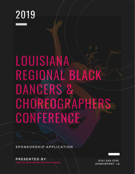# 2019

# LOUISIANA REGIONAL BLACK DANCERS & CHOREOGRAPHERS **CONFERENCE**

SPONSORSHIP APPLICATION

PRESENTED BY: Inter City Row Modern Dance Company

( 3 18) 200- 3 7 5 5 SHREVEPORT, LA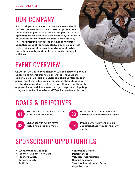### OUR COMPANY

Just to tell you a little about us, we were established in 1981 and became incorporated, tax-exempt, as a nonprofit dance organization in 1982, making us the oldest operating African American dance company in the State of Louisiana. Inter City Row Modern Dance Company (ICR) has profoundly impacted the lives of hundreds upon thousands of young people, by creating a door that makes art accessible, available, and affordable, while promoting a livable and viable community through its activities.

### EVENT OVERVIEW

On April 6, 2019 our dance company will be hosting our annual Dancers and Choreographers Conference. The Louisiana Regional Black Dancers and Choreographers Conference is an annual event that offers concurrent dance classes taught by local and regional dance instructors. All attendees will have the opportunity to participate in modern, jazz, tap, ballet, hip- hop , liturgical, creative, line, salsa, and West African dance classes.

### GOALS & OBJECTIVES



Establish ICR as a main outlet for cultural arts education



Showcase various art forms including dance and music



Provide cultural enrichment and awareness to Northwest Louisiana



Provide entertainment and art educational activities to inner city youth

### SPONSORSHIP OPPORTUNITIES

- Event Attendee Gift Bags
- Teachers & Dancers Gift Bags
- Teacher's Lunch
- Dancer's Lunch
- Raffle Items
- Conference Breakfast
- Performances
- Volunteer Appreciation
- General Expenses
- Travel for long-distance Dance Organizations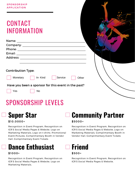### **CONTACT** INFORMATION

| <b>Contribution Type:</b>                           |  |
|-----------------------------------------------------|--|
| Service<br>In-Kind<br>Monetary<br>Other             |  |
| Have you been a sponsor for this event in the past? |  |
| Yes<br>No                                           |  |
|                                                     |  |

### SPONSORSHIP LEVELS



#### \$10,0000+

Recognition in Event Program, Recognition on ICR'S Social Media Pages & Website, Logo on Marketing Materials, Logo on t-shirts. Promotional Event Pictures, Complimentary Booth in Vendor Hall, Complimentary Event Tickets



#### \$1000+

Recognition in Event Program, Recognition on ICR'S Social Media Pages & Website, Logo on Marketing Materials,

### **Community Partner**

#### \$5000+

Recognition in Event Program, Recognition on ICR'S Social Media Pages & Website, Logo on Marketing Materials, Complimentary Booth in Vendor Hall, Complimentary Event Tickets



#### \$500+

Recognition in Event Program, Recognition on ICR'S Social Media Pages & Website,